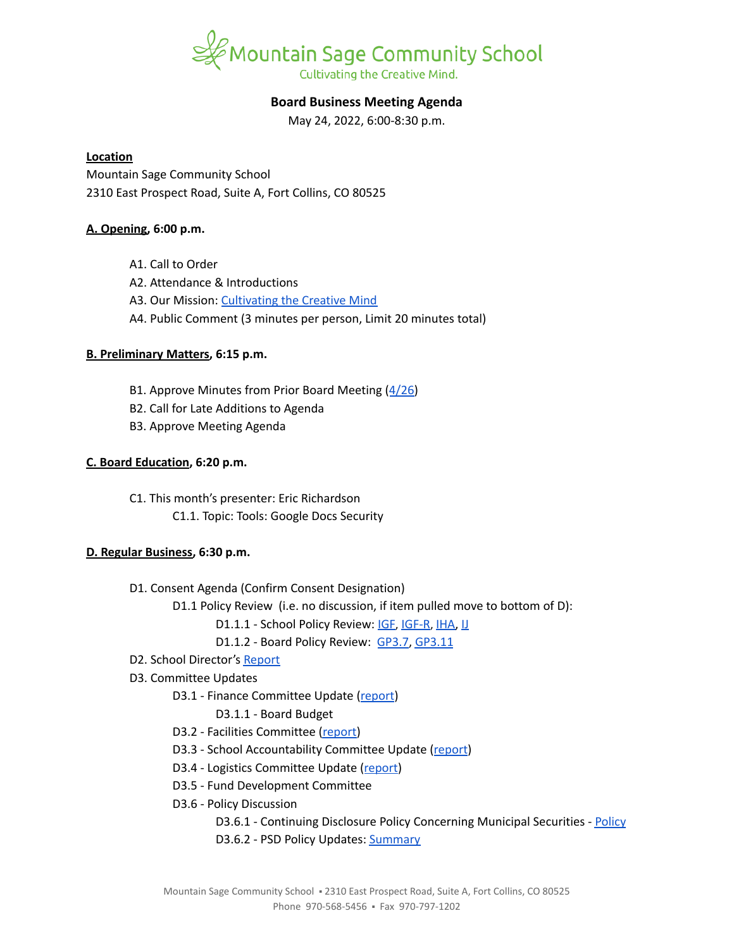

## **Board Business Meeting Agenda**

May 24, 2022, 6:00-8:30 p.m.

#### **Location**

Mountain Sage Community School 2310 East Prospect Road, Suite A, Fort Collins, CO 80525

### **A. Opening, 6:00 p.m.**

- A1. Call to Order
- A2. Attendance & Introductions
- A3. Our Mission: [Cultivating](https://www.mountainsage.org/about-us/mission-and-vision/) the Creative Mind
- A4. Public Comment (3 minutes per person, Limit 20 minutes total)

### **B. Preliminary Matters, 6:15 p.m.**

- B1. Approve Minutes from Prior Board Meeting ([4/26\)](https://docs.google.com/document/d/173qFWioBKYtEZfatSA_k2N6RSZ6IVhmsbdLTDDmUNm8)
- B2. Call for Late Additions to Agenda
- B3. Approve Meeting Agenda

## **C. Board Education, 6:20 p.m.**

- C1. This month's presenter: Eric Richardson
	- C1.1. Topic: Tools: Google Docs Security

### **D. Regular Business, 6:30 p.m.**

- D1. Consent Agenda (Confirm Consent Designation)
	- D1.1 Policy Review (i.e. no discussion, if item pulled move to bottom of D):
		- D1.1.1 School Policy Review: [IGF](https://drive.google.com/open?id=1YBuMipv4-8akEC1rjji4WdzpHc0a9nuVUP8uPDaN7w8), [IGF-R](https://drive.google.com/open?id=1miaI655qSVx0mkoge_Ogf0wfQe_WHysQOHWy3E8vP_4), [IHA,](https://drive.google.com/open?id=1rMNshX07qFv68v2FzhCZDtcOTvdvQ8-phi6XyMGnv2A) [IJ](https://drive.google.com/open?id=16Apta1Nk1rBYb8051Ha-6trPXjppnsisQfkh4iU4n5I)
		- D1.1.2 Board Policy Review: [GP3.7](https://docs.google.com/document/d/1373qt1YXZKad8EZGuCRW_oa8Xcf6y9CN5zuFsCV0s18/edit), [GP3.11](https://docs.google.com/document/d/1wBiDP8kqKlyJ4ohM3_tg5_pp2Uy8FXx9msG9Vqy2trM/edit)
- D2. School Director's [Report](https://docs.google.com/document/d/1kj9dg_lVBTyeUn6Z7FHkvN1GCR0D86O8FYbJPonWJDA/edit?usp=sharing)

### D3. Committee Updates

D3.1 - Finance Committee Update ([report](https://docs.google.com/document/d/1tAInqhzvthZxAIdTdJORyw1knW2mU2_iJjghkKcc6h4/edit?usp=sharing))

### D3.1.1 - Board Budget

- D3.2 Facilities Committee [\(report\)](https://docs.google.com/document/d/1KOU8lXBKXjmJ8AodsAatZR4_-USEzcyOwkhkTRdcEU8/edit?usp=sharing)
- D3.3 School Accountability Committee Update [\(report](https://docs.google.com/document/d/1yVlh-F_a_Z8Rhk3bAkcAiNT4wRPuKO1I1j9_1hSPXjI/edit?usp=sharing))
- D3.4 Logistics Committee Update ([report](https://docs.google.com/document/d/1XPe9d2KxIjk0bRR1WndK-FyVGMuHauN6DdQyAaKgCRo/edit?usp=sharing))
- D3.5 Fund Development Committee
- D3.6 Policy Discussion

### D3.6.1 - Continuing Disclosure [Policy](https://docs.google.com/document/d/1mK5rPO30BVWCVnOLBB8bNXzC9qgrFD0o/edit?usp=sharing&ouid=112269595831504441268&rtpof=true&sd=true) Concerning Municipal Securities - Policy

D3.6.2 - PSD Policy Updates: [Summary](https://docs.google.com/document/d/1zNXe97dnk0zJtPJOQHKED2h7Dx-DCTFyHmxIw2VivV4/edit?usp=sharing)